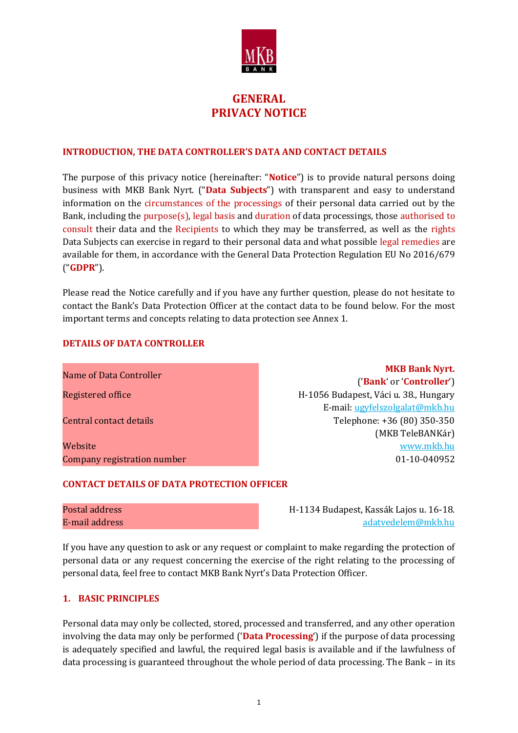

# **GENERAL PRIVACY NOTICE**

#### **INTRODUCTION, THE DATA CONTROLLER'S DATA AND CONTACT DETAILS**

The purpose of this privacy notice (hereinafter: "**Notice**") is to provide natural persons doing business with MKB Bank Nyrt. ("**Data Subjects**") with transparent and easy to understand information on the circumstances of the processings of their personal data carried out by the Bank, including the purpose(s), legal basis and duration of data processings, those authorised to consult their data and the Recipients to which they may be transferred, as well as the rights Data Subjects can exercise in regard to their personal data and what possible legal remedies are available for them, in accordance with the General Data Protection Regulation EU No 2016/679 ("**GDPR**").

Please read the Notice carefully and if you have any further question, please do not hesitate to contact the Bank's Data Protection Officer at the contact data to be found below. For the most important terms and concepts relating to data protection see Annex 1.

#### **DETAILS OF DATA CONTROLLER**

| <b>MKB Bank Nyrt.</b>                 |
|---------------------------------------|
| ('Bank' or 'Controller')              |
| H-1056 Budapest, Váci u. 38., Hungary |
| E-mail: ugyfelszolgalat@mkb.hu        |
| Telephone: +36 (80) 350-350           |
| (MKB TeleBANKár)                      |
| www.mkb.hu                            |
| 01-10-040952                          |
|                                       |

#### **CONTACT DETAILS OF DATA PROTECTION OFFICER**

Postal address H-1134 Budapest, Kassák Lajos u. 16-18. E-mail address [adatvedelem@mkb.hu](mailto:adatvedelem@mkb.hu)

If you have any question to ask or any request or complaint to make regarding the protection of personal data or any request concerning the exercise of the right relating to the processing of personal data, feel free to contact MKB Bank Nyrt's Data Protection Officer.

#### **1. BASIC PRINCIPLES**

Personal data may only be collected, stored, processed and transferred, and any other operation involving the data may only be performed ('**Data Processing**') if the purpose of data processing is adequately specified and lawful, the required legal basis is available and if the lawfulness of data processing is guaranteed throughout the whole period of data processing. The Bank – in its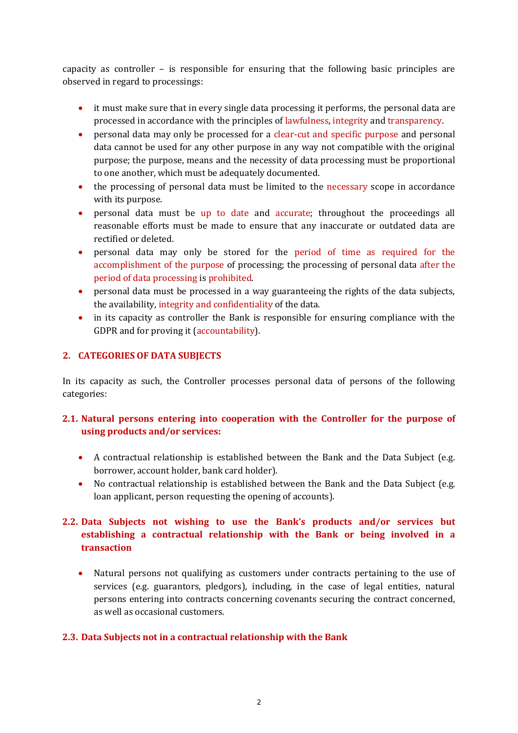capacity as controller – is responsible for ensuring that the following basic principles are observed in regard to processings:

- it must make sure that in every single data processing it performs, the personal data are processed in accordance with the principles of lawfulness, integrity and transparency.
- personal data may only be processed for a clear-cut and specific purpose and personal data cannot be used for any other purpose in any way not compatible with the original purpose; the purpose, means and the necessity of data processing must be proportional to one another, which must be adequately documented.
- the processing of personal data must be limited to the necessary scope in accordance with its purpose.
- personal data must be up to date and accurate; throughout the proceedings all reasonable efforts must be made to ensure that any inaccurate or outdated data are rectified or deleted.
- personal data may only be stored for the period of time as required for the accomplishment of the purpose of processing; the processing of personal data after the period of data processing is prohibited.
- personal data must be processed in a way guaranteeing the rights of the data subjects, the availability, integrity and confidentiality of the data.
- in its capacity as controller the Bank is responsible for ensuring compliance with the GDPR and for proving it (accountability).

# **2. CATEGORIES OF DATA SUBJECTS**

In its capacity as such, the Controller processes personal data of persons of the following categories:

# **2.1. Natural persons entering into cooperation with the Controller for the purpose of using products and/or services:**

- A contractual relationship is established between the Bank and the Data Subject (e.g. borrower, account holder, bank card holder).
- No contractual relationship is established between the Bank and the Data Subject (e.g. loan applicant, person requesting the opening of accounts).

# **2.2. Data Subjects not wishing to use the Bank's products and/or services but establishing a contractual relationship with the Bank or being involved in a transaction**

 Natural persons not qualifying as customers under contracts pertaining to the use of services (e.g. guarantors, pledgors), including, in the case of legal entities, natural persons entering into contracts concerning covenants securing the contract concerned, as well as occasional customers.

### **2.3. Data Subjects not in a contractual relationship with the Bank**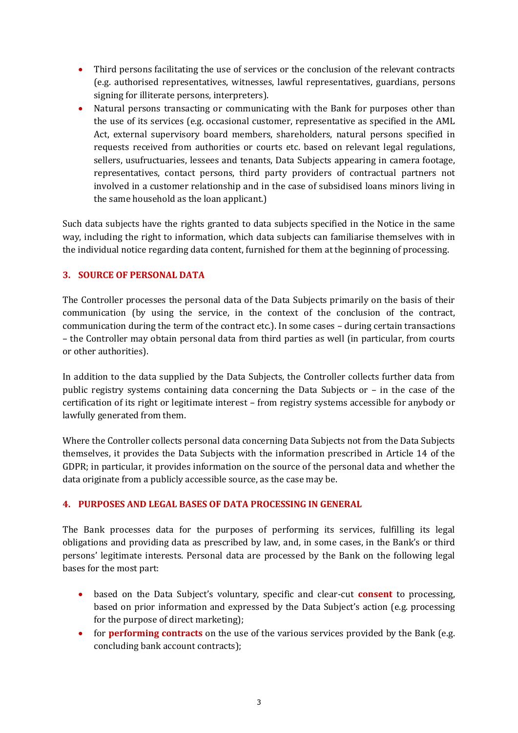- Third persons facilitating the use of services or the conclusion of the relevant contracts (e.g. authorised representatives, witnesses, lawful representatives, guardians, persons signing for illiterate persons, interpreters).
- Natural persons transacting or communicating with the Bank for purposes other than the use of its services (e.g. occasional customer, representative as specified in the AML Act, external supervisory board members, shareholders, natural persons specified in requests received from authorities or courts etc. based on relevant legal regulations, sellers, usufructuaries, lessees and tenants, Data Subjects appearing in camera footage, representatives, contact persons, third party providers of contractual partners not involved in a customer relationship and in the case of subsidised loans minors living in the same household as the loan applicant.)

Such data subjects have the rights granted to data subjects specified in the Notice in the same way, including the right to information, which data subjects can familiarise themselves with in the individual notice regarding data content, furnished for them at the beginning of processing.

### **3. SOURCE OF PERSONAL DATA**

The Controller processes the personal data of the Data Subjects primarily on the basis of their communication (by using the service, in the context of the conclusion of the contract, communication during the term of the contract etc.). In some cases – during certain transactions – the Controller may obtain personal data from third parties as well (in particular, from courts or other authorities).

In addition to the data supplied by the Data Subjects, the Controller collects further data from public registry systems containing data concerning the Data Subjects or – in the case of the certification of its right or legitimate interest – from registry systems accessible for anybody or lawfully generated from them.

Where the Controller collects personal data concerning Data Subjects not from the Data Subjects themselves, it provides the Data Subjects with the information prescribed in Article 14 of the GDPR; in particular, it provides information on the source of the personal data and whether the data originate from a publicly accessible source, as the case may be.

# **4. PURPOSES AND LEGAL BASES OF DATA PROCESSING IN GENERAL**

The Bank processes data for the purposes of performing its services, fulfilling its legal obligations and providing data as prescribed by law, and, in some cases, in the Bank's or third persons' legitimate interests. Personal data are processed by the Bank on the following legal bases for the most part:

- based on the Data Subject's voluntary, specific and clear-cut **consent** to processing, based on prior information and expressed by the Data Subject's action (e.g. processing for the purpose of direct marketing);
- **for performing contracts** on the use of the various services provided by the Bank (e.g. concluding bank account contracts);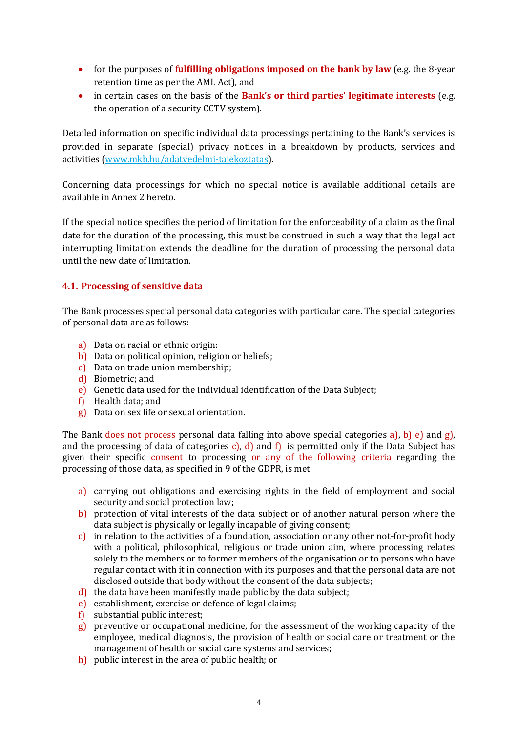- for the purposes of **fulfilling obligations imposed on the bank by law** (e.g. the 8-year retention time as per the AML Act), and
- in certain cases on the basis of the **Bank's or third parties' legitimate interests** (e.g. the operation of a security CCTV system).

Detailed information on specific individual data processings pertaining to the Bank's services is provided in separate (special) privacy notices in a breakdown by products, services and activities [\(www.mkb.hu/adatvedelmi-tajekoztatas\)](http://www.mkb.hu/adatvedelmi-tajekoztatas).

Concerning data processings for which no special notice is available additional details are available in Annex 2 hereto.

If the special notice specifies the period of limitation for the enforceability of a claim as the final date for the duration of the processing, this must be construed in such a way that the legal act interrupting limitation extends the deadline for the duration of processing the personal data until the new date of limitation.

### **4.1. Processing of sensitive data**

The Bank processes special personal data categories with particular care. The special categories of personal data are as follows:

- a) Data on racial or ethnic origin:
- b) Data on political opinion, religion or beliefs;
- c) Data on trade union membership;
- d) Biometric; and
- e) Genetic data used for the individual identification of the Data Subject;
- f) Health data; and
- g) Data on sex life or sexual orientation.

The Bank does not process personal data falling into above special categories a), b) e) and g), and the processing of data of categories c), d) and f) is permitted only if the Data Subject has given their specific consent to processing or any of the following criteria regarding the processing of those data, as specified in 9 of the GDPR, is met.

- a) carrying out obligations and exercising rights in the field of employment and social security and social protection law;
- b) protection of vital interests of the data subject or of another natural person where the data subject is physically or legally incapable of giving consent;
- c) in relation to the activities of a foundation, association or any other not-for-profit body with a political, philosophical, religious or trade union aim, where processing relates solely to the members or to former members of the organisation or to persons who have regular contact with it in connection with its purposes and that the personal data are not disclosed outside that body without the consent of the data subjects;
- d) the data have been manifestly made public by the data subject;
- e) establishment, exercise or defence of legal claims;
- f) substantial public interest;
- $\bf{g}$ ) preventive or occupational medicine, for the assessment of the working capacity of the employee, medical diagnosis, the provision of health or social care or treatment or the management of health or social care systems and services;
- h) public interest in the area of public health; or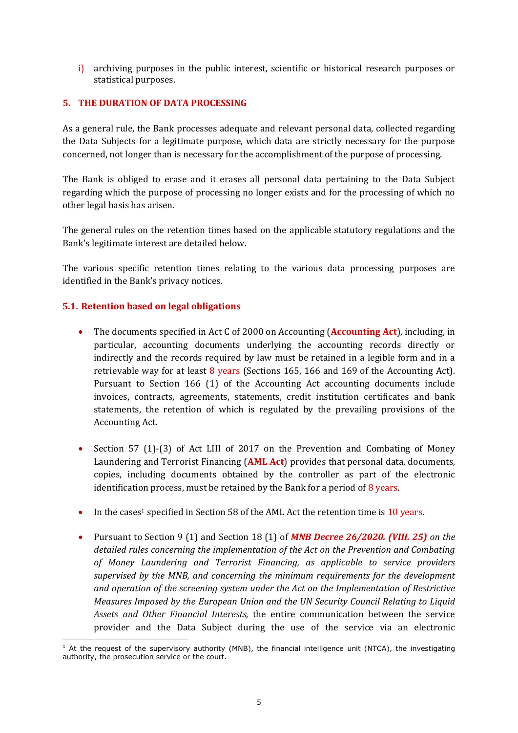i) archiving purposes in the public interest, scientific or historical research purposes or statistical purposes.

#### **5. THE DURATION OF DATA PROCESSING**

As a general rule, the Bank processes adequate and relevant personal data, collected regarding the Data Subjects for a legitimate purpose, which data are strictly necessary for the purpose concerned, not longer than is necessary for the accomplishment of the purpose of processing.

The Bank is obliged to erase and it erases all personal data pertaining to the Data Subject regarding which the purpose of processing no longer exists and for the processing of which no other legal basis has arisen.

The general rules on the retention times based on the applicable statutory regulations and the Bank's legitimate interest are detailed below.

The various specific retention times relating to the various data processing purposes are identified in the Bank's privacy notices.

#### **5.1. Retention based on legal obligations**

- The documents specified in Act C of 2000 on Accounting (**Accounting Act**), including, in particular, accounting documents underlying the accounting records directly or indirectly and the records required by law must be retained in a legible form and in a retrievable way for at least 8 years (Sections 165, 166 and 169 of the Accounting Act). Pursuant to Section 166 (1) of the Accounting Act accounting documents include invoices, contracts, agreements, statements, credit institution certificates and bank statements, the retention of which is regulated by the prevailing provisions of the Accounting Act.
- Section 57 (1)-(3) of Act LIII of 2017 on the Prevention and Combating of Money Laundering and Terrorist Financing (**AML Act**) provides that personal data, documents, copies, including documents obtained by the controller as part of the electronic identification process, must be retained by the Bank for a period of  $8$  years.
- In the cases<sup>1</sup> specified in Section 58 of the AML Act the retention time is  $10$  years.
- Pursuant to Section 9 (1) and Section 18 (1) of *MNB Decree 26/2020. (VIII. 25) on the detailed rules concerning the implementation of the Act on the Prevention and Combating of Money Laundering and Terrorist Financing, as applicable to service providers supervised by the MNB, and concerning the minimum requirements for the development and operation of the screening system under the Act on the Implementation of Restrictive Measures Imposed by the European Union and the UN Security Council Relating to Liquid Assets and Other Financial Interests,* the entire communication between the service provider and the Data Subject during the use of the service via an electronic

<sup>-</sup> $1$  At the request of the supervisory authority (MNB), the financial intelligence unit (NTCA), the investigating authority, the prosecution service or the court.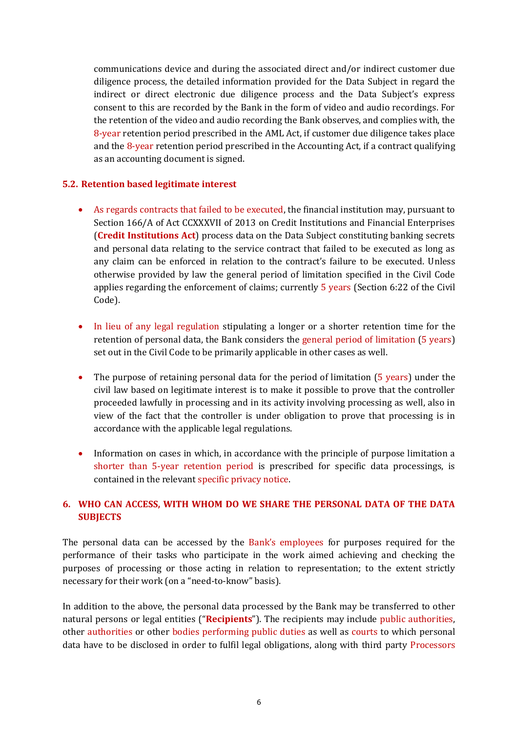communications device and during the associated direct and/or indirect customer due diligence process, the detailed information provided for the Data Subject in regard the indirect or direct electronic due diligence process and the Data Subject's express consent to this are recorded by the Bank in the form of video and audio recordings. For the retention of the video and audio recording the Bank observes, and complies with, the 8-year retention period prescribed in the AML Act, if customer due diligence takes place and the 8-year retention period prescribed in the Accounting Act, if a contract qualifying as an accounting document is signed.

### **5.2. Retention based legitimate interest**

- As regards contracts that failed to be executed, the financial institution may, pursuant to Section 166/A of Act CCXXXVII of 2013 on Credit Institutions and Financial Enterprises (**Credit Institutions Act**) process data on the Data Subject constituting banking secrets and personal data relating to the service contract that failed to be executed as long as any claim can be enforced in relation to the contract's failure to be executed. Unless otherwise provided by law the general period of limitation specified in the Civil Code applies regarding the enforcement of claims; currently 5 years (Section 6:22 of the Civil Code).
- In lieu of any legal regulation stipulating a longer or a shorter retention time for the retention of personal data, the Bank considers the general period of limitation (5 years) set out in the Civil Code to be primarily applicable in other cases as well.
- The purpose of retaining personal data for the period of limitation (5 years) under the civil law based on legitimate interest is to make it possible to prove that the controller proceeded lawfully in processing and in its activity involving processing as well, also in view of the fact that the controller is under obligation to prove that processing is in accordance with the applicable legal regulations.
- Information on cases in which, in accordance with the principle of purpose limitation a shorter than 5-year retention period is prescribed for specific data processings, is contained in the relevant specific privacy notice.

### **6. WHO CAN ACCESS, WITH WHOM DO WE SHARE THE PERSONAL DATA OF THE DATA SUBJECTS**

The personal data can be accessed by the Bank's employees for purposes required for the performance of their tasks who participate in the work aimed achieving and checking the purposes of processing or those acting in relation to representation; to the extent strictly necessary for their work (on a "need-to-know" basis).

In addition to the above, the personal data processed by the Bank may be transferred to other natural persons or legal entities ("**Recipients**"). The recipients may include public authorities, other authorities or other bodies performing public duties as well as courts to which personal data have to be disclosed in order to fulfil legal obligations, along with third party Processors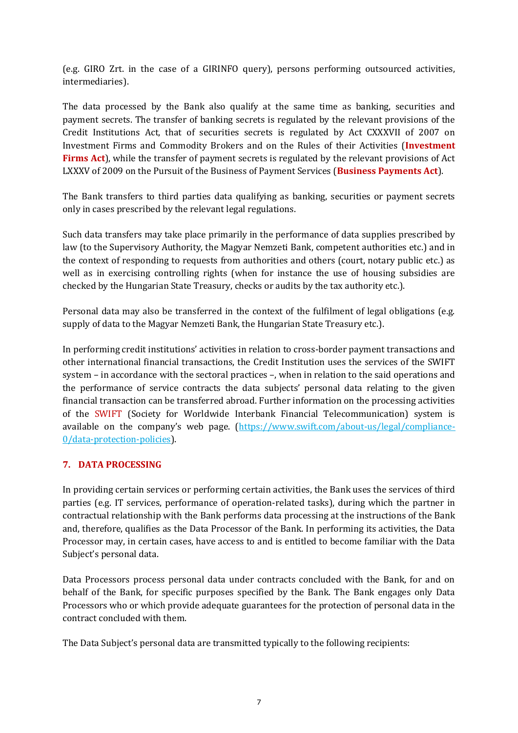(e.g. GIRO Zrt. in the case of a GIRINFO query), persons performing outsourced activities, intermediaries).

The data processed by the Bank also qualify at the same time as banking, securities and payment secrets. The transfer of banking secrets is regulated by the relevant provisions of the Credit Institutions Act, that of securities secrets is regulated by Act CXXXVII of 2007 on Investment Firms and Commodity Brokers and on the Rules of their Activities (**Investment Firms Act**), while the transfer of payment secrets is regulated by the relevant provisions of Act LXXXV of 2009 on the Pursuit of the Business of Payment Services (**Business Payments Act**).

The Bank transfers to third parties data qualifying as banking, securities or payment secrets only in cases prescribed by the relevant legal regulations.

Such data transfers may take place primarily in the performance of data supplies prescribed by law (to the Supervisory Authority, the Magyar Nemzeti Bank, competent authorities etc.) and in the context of responding to requests from authorities and others (court, notary public etc.) as well as in exercising controlling rights (when for instance the use of housing subsidies are checked by the Hungarian State Treasury, checks or audits by the tax authority etc.).

Personal data may also be transferred in the context of the fulfilment of legal obligations (e.g. supply of data to the Magyar Nemzeti Bank, the Hungarian State Treasury etc.).

In performing credit institutions' activities in relation to cross-border payment transactions and other international financial transactions, the Credit Institution uses the services of the SWIFT system – in accordance with the sectoral practices –, when in relation to the said operations and the performance of service contracts the data subjects' personal data relating to the given financial transaction can be transferred abroad. Further information on the processing activities of the SWIFT (Society for Worldwide Interbank Financial Telecommunication) system is available on the company's web page. ([https://www.swift.com/about-us/legal/compliance-](https://www.swift.com/about-us/legal/compliance-0/data-protection-policies)[0/data-protection-policies\)](https://www.swift.com/about-us/legal/compliance-0/data-protection-policies).

# **7. DATA PROCESSING**

In providing certain services or performing certain activities, the Bank uses the services of third parties (e.g. IT services, performance of operation-related tasks), during which the partner in contractual relationship with the Bank performs data processing at the instructions of the Bank and, therefore, qualifies as the Data Processor of the Bank. In performing its activities, the Data Processor may, in certain cases, have access to and is entitled to become familiar with the Data Subject's personal data.

Data Processors process personal data under contracts concluded with the Bank, for and on behalf of the Bank, for specific purposes specified by the Bank. The Bank engages only Data Processors who or which provide adequate guarantees for the protection of personal data in the contract concluded with them.

The Data Subject's personal data are transmitted typically to the following recipients: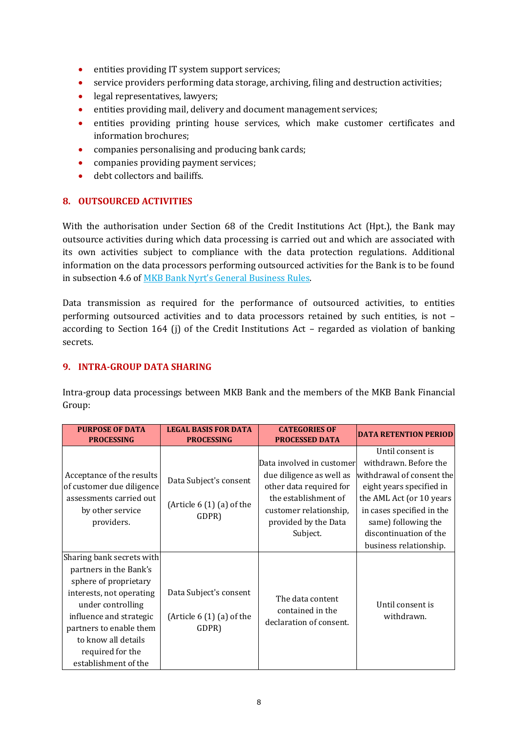- entities providing IT system support services;
- service providers performing data storage, archiving, filing and destruction activities;
- legal representatives, lawyers;
- entities providing mail, delivery and document management services;
- entities providing printing house services, which make customer certificates and information brochures;
- companies personalising and producing bank cards;
- companies providing payment services;
- debt collectors and bailiffs.

### **8. OUTSOURCED ACTIVITIES**

With the authorisation under Section 68 of the Credit Institutions Act (Hpt.), the Bank may outsource activities during which data processing is carried out and which are associated with its own activities subject to compliance with the data protection regulations. Additional information on the data processors performing outsourced activities for the Bank is to be found in subsection 4.6 of [MKB Bank Nyrt's General Business Rules](https://www.mkb.hu/sw/static/file/Altalanos_USZ_220128_ugyfel.pdf).

Data transmission as required for the performance of outsourced activities, to entities performing outsourced activities and to data processors retained by such entities, is not – according to Section 164 (j) of the Credit Institutions Act – regarded as violation of banking secrets.

### **9. INTRA-GROUP DATA SHARING**

Intra-group data processings between MKB Bank and the members of the MKB Bank Financial Group:

| <b>PURPOSE OF DATA</b>                                                                                                                                                                                                                                 | <b>LEGAL BASIS FOR DATA</b>                                  | <b>CATEGORIES OF</b>                                                               | <b>DATA RETENTION PERIOD</b>                                                                                                     |
|--------------------------------------------------------------------------------------------------------------------------------------------------------------------------------------------------------------------------------------------------------|--------------------------------------------------------------|------------------------------------------------------------------------------------|----------------------------------------------------------------------------------------------------------------------------------|
| <b>PROCESSING</b>                                                                                                                                                                                                                                      | <b>PROCESSING</b>                                            | <b>PROCESSED DATA</b>                                                              |                                                                                                                                  |
|                                                                                                                                                                                                                                                        |                                                              |                                                                                    | Until consent is                                                                                                                 |
| Acceptance of the results<br>of customer due diligence                                                                                                                                                                                                 | Data Subject's consent                                       | Data involved in customer<br>due diligence as well as<br>other data required for   | withdrawn. Before the<br>withdrawal of consent the<br>eight years specified in                                                   |
| assessments carried out<br>by other service<br>providers.                                                                                                                                                                                              | (Article $6(1)(a)$ of the<br>GDPR)                           | the establishment of<br>customer relationship,<br>provided by the Data<br>Subject. | the AML Act (or 10 years<br>in cases specified in the<br>same) following the<br>discontinuation of the<br>business relationship. |
| Sharing bank secrets with<br>partners in the Bank's<br>sphere of proprietary<br>interests, not operating<br>under controlling<br>influence and strategic<br>partners to enable them<br>to know all details<br>required for the<br>establishment of the | Data Subject's consent<br>(Article $6(1)(a)$ of the<br>GDPR) | The data content<br>contained in the<br>declaration of consent.                    | Until consent is<br>withdrawn.                                                                                                   |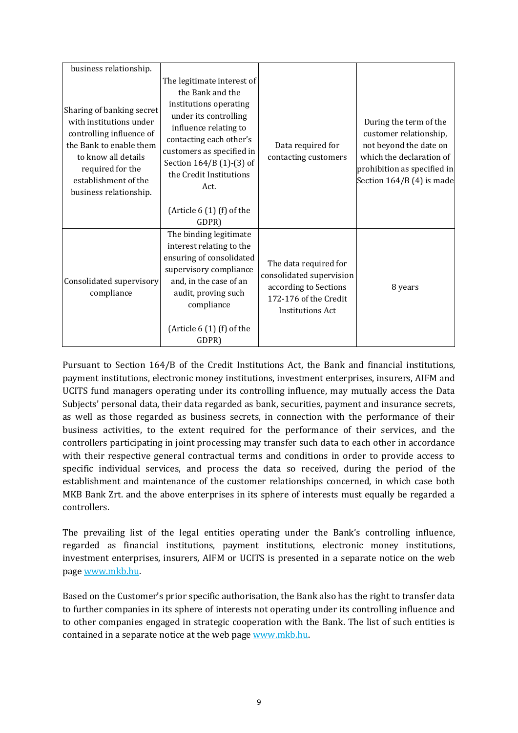| business relationship.                                                                                                                                                                                   |                                                                                                                                                                                                                                                                                          |                                                                                                                                |                                                                                                                                                                    |
|----------------------------------------------------------------------------------------------------------------------------------------------------------------------------------------------------------|------------------------------------------------------------------------------------------------------------------------------------------------------------------------------------------------------------------------------------------------------------------------------------------|--------------------------------------------------------------------------------------------------------------------------------|--------------------------------------------------------------------------------------------------------------------------------------------------------------------|
| Sharing of banking secret<br>with institutions under<br>controlling influence of<br>the Bank to enable them<br>to know all details<br>required for the<br>establishment of the<br>business relationship. | The legitimate interest of<br>the Bank and the<br>institutions operating<br>under its controlling<br>influence relating to<br>contacting each other's<br>customers as specified in<br>Section 164/B (1)-(3) of<br>the Credit Institutions<br>Act.<br>(Article $6(1)$ (f) of the<br>GDPR) | Data required for<br>contacting customers                                                                                      | During the term of the<br>customer relationship,<br>not beyond the date on<br>which the declaration of<br>prohibition as specified in<br>Section 164/B (4) is made |
| Consolidated supervisory<br>compliance                                                                                                                                                                   | The binding legitimate<br>interest relating to the<br>ensuring of consolidated<br>supervisory compliance<br>and, in the case of an<br>audit, proving such<br>compliance<br>(Article $6(1)$ (f) of the<br>GDPR)                                                                           | The data required for<br>consolidated supervision<br>according to Sections<br>172-176 of the Credit<br><b>Institutions Act</b> | 8 years                                                                                                                                                            |

Pursuant to Section 164/B of the Credit Institutions Act, the Bank and financial institutions, payment institutions, electronic money institutions, investment enterprises, insurers, AIFM and UCITS fund managers operating under its controlling influence, may mutually access the Data Subjects' personal data, their data regarded as bank, securities, payment and insurance secrets, as well as those regarded as business secrets, in connection with the performance of their business activities, to the extent required for the performance of their services, and the controllers participating in joint processing may transfer such data to each other in accordance with their respective general contractual terms and conditions in order to provide access to specific individual services, and process the data so received, during the period of the establishment and maintenance of the customer relationships concerned, in which case both MKB Bank Zrt. and the above enterprises in its sphere of interests must equally be regarded a controllers.

The prevailing list of the legal entities operating under the Bank's controlling influence, regarded as financial institutions, payment institutions, electronic money institutions, investment enterprises, insurers, AIFM or UCITS is presented in a separate notice on the web pag[e www.mkb.hu.](http://www.mkb.hu/)

Based on the Customer's prior specific authorisation, the Bank also has the right to transfer data to further companies in its sphere of interests not operating under its controlling influence and to other companies engaged in strategic cooperation with the Bank. The list of such entities is contained in a separate notice at the web page [www.mkb.hu.](http://www.mkb.hu/)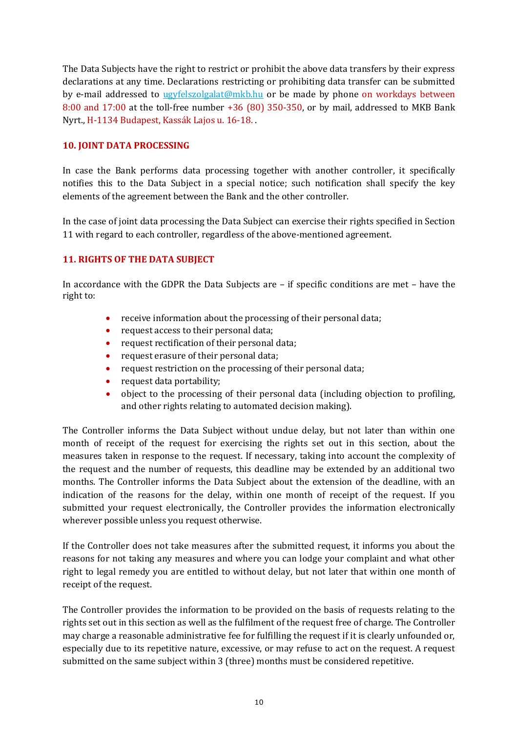The Data Subjects have the right to restrict or prohibit the above data transfers by their express declarations at any time. Declarations restricting or prohibiting data transfer can be submitted by e-mail addressed to [ugyfelszolgalat@mkb.hu](mailto:ugyfelszolgalat@mkb.hu) or be made by phone on workdays between 8:00 and 17:00 at the toll-free number +36 (80) 350-350, or by mail, addressed to MKB Bank Nyrt., H-1134 Budapest, Kassák Lajos u. 16-18. .

### **10. JOINT DATA PROCESSING**

In case the Bank performs data processing together with another controller, it specifically notifies this to the Data Subject in a special notice; such notification shall specify the key elements of the agreement between the Bank and the other controller.

In the case of joint data processing the Data Subject can exercise their rights specified in Section 11 with regard to each controller, regardless of the above-mentioned agreement.

### **11. RIGHTS OF THE DATA SUBJECT**

In accordance with the GDPR the Data Subjects are – if specific conditions are met – have the right to:

- receive information about the processing of their personal data;
- request access to their personal data;
- request rectification of their personal data;
- request erasure of their personal data;
- request restriction on the processing of their personal data;
- request data portability;
- object to the processing of their personal data (including objection to profiling, and other rights relating to automated decision making).

The Controller informs the Data Subject without undue delay, but not later than within one month of receipt of the request for exercising the rights set out in this section, about the measures taken in response to the request. If necessary, taking into account the complexity of the request and the number of requests, this deadline may be extended by an additional two months. The Controller informs the Data Subject about the extension of the deadline, with an indication of the reasons for the delay, within one month of receipt of the request. If you submitted your request electronically, the Controller provides the information electronically wherever possible unless you request otherwise.

If the Controller does not take measures after the submitted request, it informs you about the reasons for not taking any measures and where you can lodge your complaint and what other right to legal remedy you are entitled to without delay, but not later that within one month of receipt of the request.

The Controller provides the information to be provided on the basis of requests relating to the rights set out in this section as well as the fulfilment of the request free of charge. The Controller may charge a reasonable administrative fee for fulfilling the request if it is clearly unfounded or, especially due to its repetitive nature, excessive, or may refuse to act on the request. A request submitted on the same subject within 3 (three) months must be considered repetitive.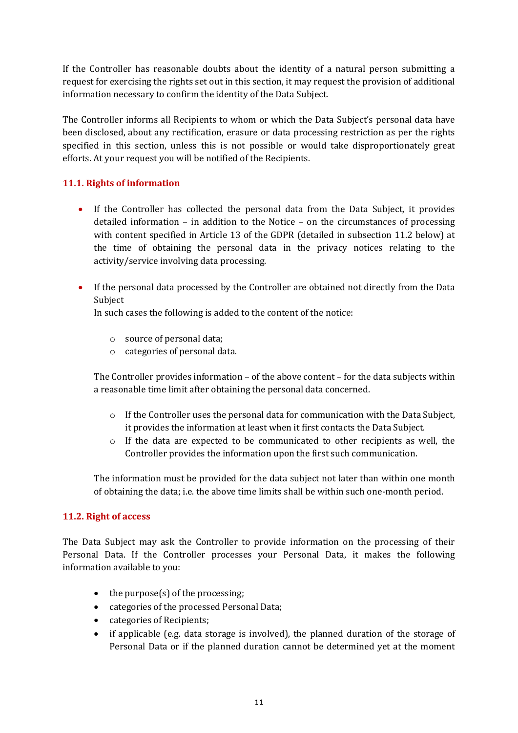If the Controller has reasonable doubts about the identity of a natural person submitting a request for exercising the rights set out in this section, it may request the provision of additional information necessary to confirm the identity of the Data Subject.

The Controller informs all Recipients to whom or which the Data Subject's personal data have been disclosed, about any rectification, erasure or data processing restriction as per the rights specified in this section, unless this is not possible or would take disproportionately great efforts. At your request you will be notified of the Recipients.

# **11.1. Rights of information**

- If the Controller has collected the personal data from the Data Subject, it provides detailed information – in addition to the Notice – on the circumstances of processing with content specified in Article 13 of the GDPR (detailed in subsection 11.2 below) at the time of obtaining the personal data in the privacy notices relating to the activity/service involving data processing.
- If the personal data processed by the Controller are obtained not directly from the Data Subject

In such cases the following is added to the content of the notice:

- o source of personal data;
- o categories of personal data.

The Controller provides information – of the above content – for the data subjects within a reasonable time limit after obtaining the personal data concerned.

- $\circ$  If the Controller uses the personal data for communication with the Data Subject. it provides the information at least when it first contacts the Data Subject.
- o If the data are expected to be communicated to other recipients as well, the Controller provides the information upon the first such communication.

The information must be provided for the data subject not later than within one month of obtaining the data; i.e. the above time limits shall be within such one-month period.

# **11.2. Right of access**

The Data Subject may ask the Controller to provide information on the processing of their Personal Data. If the Controller processes your Personal Data, it makes the following information available to you:

- $\bullet$  the purpose(s) of the processing;
- categories of the processed Personal Data;
- categories of Recipients;
- if applicable (e.g. data storage is involved), the planned duration of the storage of Personal Data or if the planned duration cannot be determined yet at the moment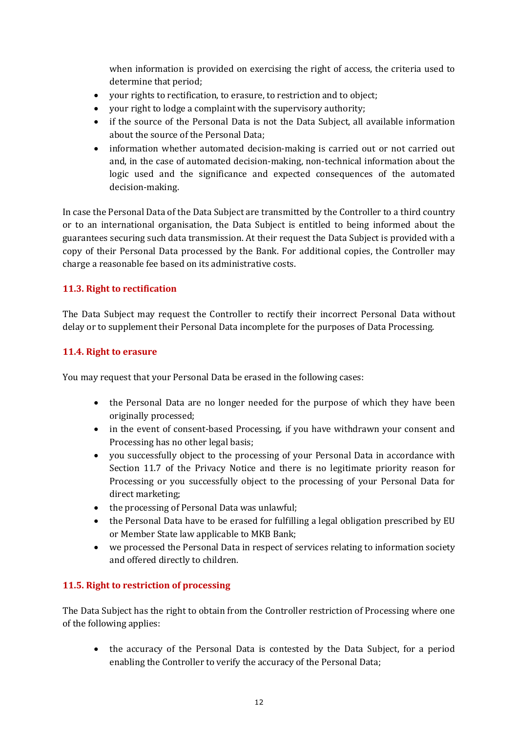when information is provided on exercising the right of access, the criteria used to determine that period;

- your rights to rectification, to erasure, to restriction and to object;
- your right to lodge a complaint with the supervisory authority;
- if the source of the Personal Data is not the Data Subject, all available information about the source of the Personal Data;
- information whether automated decision-making is carried out or not carried out and, in the case of automated decision-making, non-technical information about the logic used and the significance and expected consequences of the automated decision-making.

In case the Personal Data of the Data Subject are transmitted by the Controller to a third country or to an international organisation, the Data Subject is entitled to being informed about the guarantees securing such data transmission. At their request the Data Subject is provided with a copy of their Personal Data processed by the Bank. For additional copies, the Controller may charge a reasonable fee based on its administrative costs.

# **11.3. Right to rectification**

The Data Subject may request the Controller to rectify their incorrect Personal Data without delay or to supplement their Personal Data incomplete for the purposes of Data Processing.

# **11.4. Right to erasure**

You may request that your Personal Data be erased in the following cases:

- the Personal Data are no longer needed for the purpose of which they have been originally processed;
- in the event of consent-based Processing, if you have withdrawn your consent and Processing has no other legal basis;
- you successfully object to the processing of your Personal Data in accordance with Section 11.7 of the Privacy Notice and there is no legitimate priority reason for Processing or you successfully object to the processing of your Personal Data for direct marketing;
- the processing of Personal Data was unlawful;
- the Personal Data have to be erased for fulfilling a legal obligation prescribed by EU or Member State law applicable to MKB Bank;
- we processed the Personal Data in respect of services relating to information society and offered directly to children.

# **11.5. Right to restriction of processing**

The Data Subject has the right to obtain from the Controller restriction of Processing where one of the following applies:

• the accuracy of the Personal Data is contested by the Data Subject, for a period enabling the Controller to verify the accuracy of the Personal Data;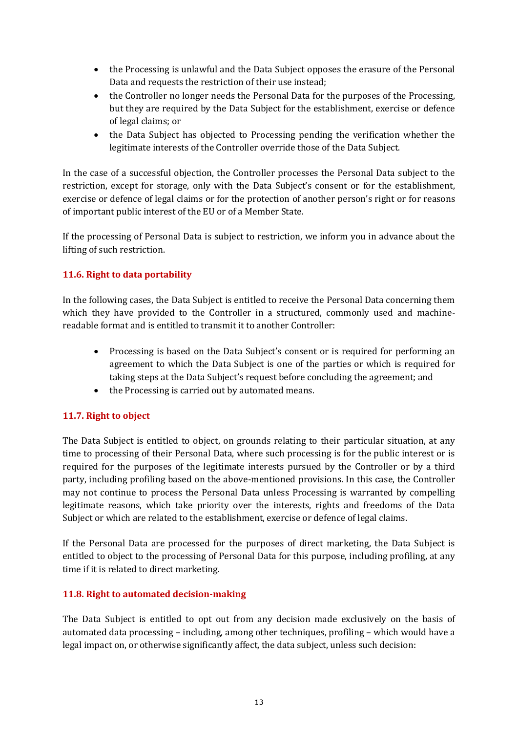- the Processing is unlawful and the Data Subject opposes the erasure of the Personal Data and requests the restriction of their use instead;
- the Controller no longer needs the Personal Data for the purposes of the Processing, but they are required by the Data Subject for the establishment, exercise or defence of legal claims; or
- the Data Subject has objected to Processing pending the verification whether the legitimate interests of the Controller override those of the Data Subject.

In the case of a successful objection, the Controller processes the Personal Data subject to the restriction, except for storage, only with the Data Subject's consent or for the establishment, exercise or defence of legal claims or for the protection of another person's right or for reasons of important public interest of the EU or of a Member State.

If the processing of Personal Data is subject to restriction, we inform you in advance about the lifting of such restriction.

# **11.6. Right to data portability**

In the following cases, the Data Subject is entitled to receive the Personal Data concerning them which they have provided to the Controller in a structured, commonly used and machinereadable format and is entitled to transmit it to another Controller:

- Processing is based on the Data Subject's consent or is required for performing an agreement to which the Data Subject is one of the parties or which is required for taking steps at the Data Subject's request before concluding the agreement; and
- the Processing is carried out by automated means.

# **11.7. Right to object**

The Data Subject is entitled to object, on grounds relating to their particular situation, at any time to processing of their Personal Data, where such processing is for the public interest or is required for the purposes of the legitimate interests pursued by the Controller or by a third party, including profiling based on the above-mentioned provisions. In this case, the Controller may not continue to process the Personal Data unless Processing is warranted by compelling legitimate reasons, which take priority over the interests, rights and freedoms of the Data Subject or which are related to the establishment, exercise or defence of legal claims.

If the Personal Data are processed for the purposes of direct marketing, the Data Subject is entitled to object to the processing of Personal Data for this purpose, including profiling, at any time if it is related to direct marketing.

### **11.8. Right to automated decision-making**

The Data Subject is entitled to opt out from any decision made exclusively on the basis of automated data processing – including, among other techniques, profiling – which would have a legal impact on, or otherwise significantly affect, the data subject, unless such decision: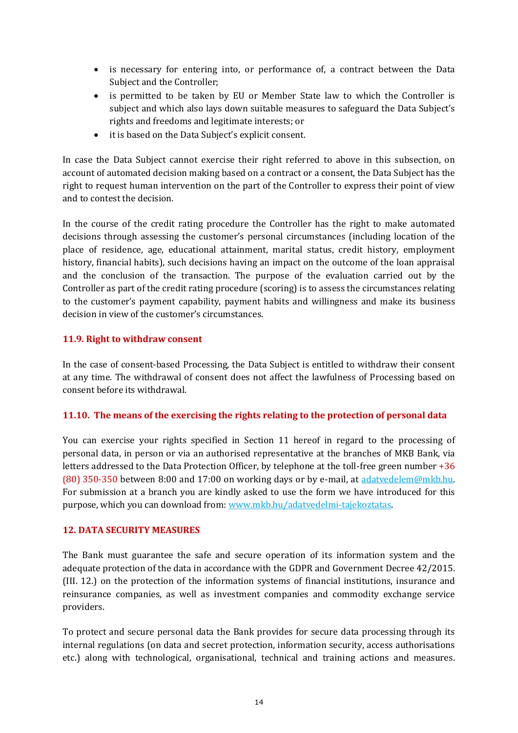- is necessary for entering into, or performance of, a contract between the Data Subject and the Controller;
- is permitted to be taken by EU or Member State law to which the Controller is subject and which also lays down suitable measures to safeguard the Data Subject's rights and freedoms and legitimate interests; or
- it is based on the Data Subject's explicit consent.

In case the Data Subject cannot exercise their right referred to above in this subsection, on account of automated decision making based on a contract or a consent, the Data Subject has the right to request human intervention on the part of the Controller to express their point of view and to contest the decision.

In the course of the credit rating procedure the Controller has the right to make automated decisions through assessing the customer's personal circumstances (including location of the place of residence, age, educational attainment, marital status, credit history, employment history, financial habits), such decisions having an impact on the outcome of the loan appraisal and the conclusion of the transaction. The purpose of the evaluation carried out by the Controller as part of the credit rating procedure (scoring) is to assess the circumstances relating to the customer's payment capability, payment habits and willingness and make its business decision in view of the customer's circumstances.

### **11.9. Right to withdraw consent**

In the case of consent-based Processing, the Data Subject is entitled to withdraw their consent at any time. The withdrawal of consent does not affect the lawfulness of Processing based on consent before its withdrawal.

### **11.10. The means of the exercising the rights relating to the protection of personal data**

You can exercise your rights specified in Section 11 hereof in regard to the processing of personal data, in person or via an authorised representative at the branches of MKB Bank, via letters addressed to the Data Protection Officer, by telephone at the toll-free green number +36 (80) 350-350 between 8:00 and 17:00 on working days or by e-mail, at [adatvedelem@mkb.hu.](mailto:adatvedelem@mkb.hu) For submission at a branch you are kindly asked to use the form we have introduced for this purpose, which you can download from[: www.mkb.hu/adatvedelmi-tajekoztatas.](http://www.mkb.hu/adatvedelmi-tajekoztatas)

### **12. DATA SECURITY MEASURES**

The Bank must guarantee the safe and secure operation of its information system and the adequate protection of the data in accordance with the GDPR and Government Decree 42/2015. (III. 12.) on the protection of the information systems of financial institutions, insurance and reinsurance companies, as well as investment companies and commodity exchange service providers.

To protect and secure personal data the Bank provides for secure data processing through its internal regulations (on data and secret protection, information security, access authorisations etc.) along with technological, organisational, technical and training actions and measures.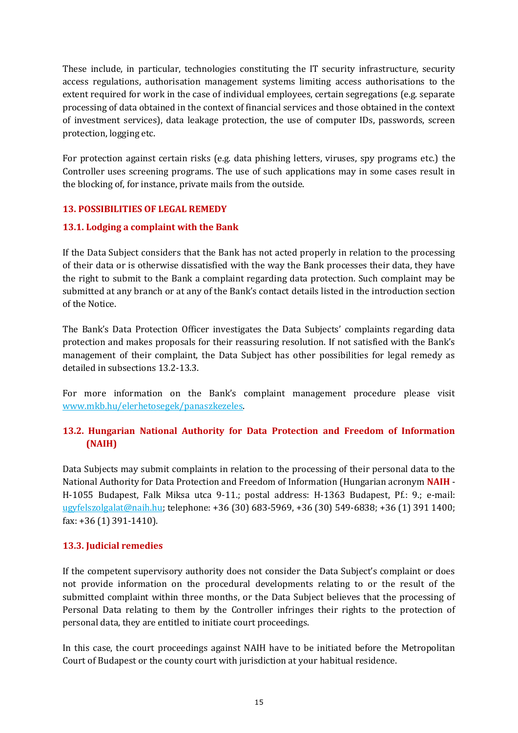These include, in particular, technologies constituting the IT security infrastructure, security access regulations, authorisation management systems limiting access authorisations to the extent required for work in the case of individual employees, certain segregations (e.g. separate processing of data obtained in the context of financial services and those obtained in the context of investment services), data leakage protection, the use of computer IDs, passwords, screen protection, logging etc.

For protection against certain risks (e.g. data phishing letters, viruses, spy programs etc.) the Controller uses screening programs. The use of such applications may in some cases result in the blocking of, for instance, private mails from the outside.

### **13. POSSIBILITIES OF LEGAL REMEDY**

### **13.1. Lodging a complaint with the Bank**

If the Data Subject considers that the Bank has not acted properly in relation to the processing of their data or is otherwise dissatisfied with the way the Bank processes their data, they have the right to submit to the Bank a complaint regarding data protection. Such complaint may be submitted at any branch or at any of the Bank's contact details listed in the introduction section of the Notice.

The Bank's Data Protection Officer investigates the Data Subjects' complaints regarding data protection and makes proposals for their reassuring resolution. If not satisfied with the Bank's management of their complaint, the Data Subject has other possibilities for legal remedy as detailed in subsections 13.2-13.3.

For more information on the Bank's complaint management procedure please visit [www.mkb.hu/elerhetosegek/panaszkezeles.](http://www.mkb.hu/elerhetosegek/panaszkezeles)

# **13.2. Hungarian National Authority for Data Protection and Freedom of Information (NAIH)**

Data Subjects may submit complaints in relation to the processing of their personal data to the National Authority for Data Protection and Freedom of Information (Hungarian acronym **NAIH** - H-1055 Budapest, Falk Miksa utca 9-11.; postal address: H-1363 Budapest, Pf.: 9.; e-mail: [ugyfelszolgalat@naih.hu;](mailto:ugyfelszolgalat@naih.hu) telephone: +36 (30) 683-5969, +36 (30) 549-6838; +36 (1) 391 1400; fax: +36 (1) 391-1410).

### **13.3. Judicial remedies**

If the competent supervisory authority does not consider the Data Subject's complaint or does not provide information on the procedural developments relating to or the result of the submitted complaint within three months, or the Data Subject believes that the processing of Personal Data relating to them by the Controller infringes their rights to the protection of personal data, they are entitled to initiate court proceedings.

In this case, the court proceedings against NAIH have to be initiated before the Metropolitan Court of Budapest or the county court with jurisdiction at your habitual residence.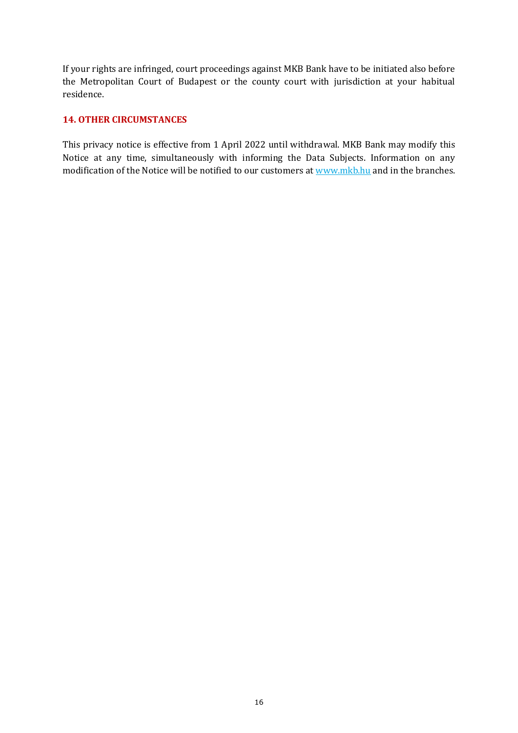If your rights are infringed, court proceedings against MKB Bank have to be initiated also before the Metropolitan Court of Budapest or the county court with jurisdiction at your habitual residence.

### **14. OTHER CIRCUMSTANCES**

This privacy notice is effective from 1 April 2022 until withdrawal. MKB Bank may modify this Notice at any time, simultaneously with informing the Data Subjects. Information on any modification of the Notice will be notified to our customers at [www.mkb.hu](http://www.mkb.hu/) and in the branches.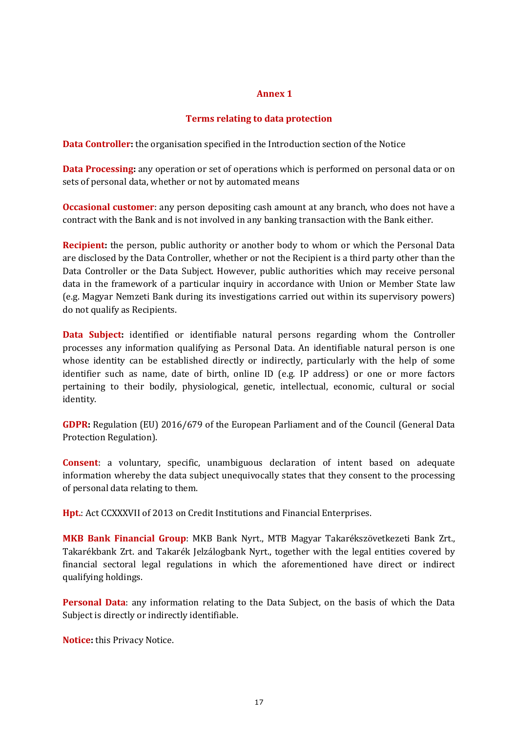#### **Annex 1**

### **Terms relating to data protection**

**Data Controller:** the organisation specified in the Introduction section of the Notice

**Data Processing:** any operation or set of operations which is performed on personal data or on sets of personal data, whether or not by automated means

**Occasional customer**: any person depositing cash amount at any branch, who does not have a contract with the Bank and is not involved in any banking transaction with the Bank either.

**Recipient:** the person, public authority or another body to whom or which the Personal Data are disclosed by the Data Controller, whether or not the Recipient is a third party other than the Data Controller or the Data Subject. However, public authorities which may receive personal data in the framework of a particular inquiry in accordance with Union or Member State law (e.g. Magyar Nemzeti Bank during its investigations carried out within its supervisory powers) do not qualify as Recipients.

**Data Subject:** identified or identifiable natural persons regarding whom the Controller processes any information qualifying as Personal Data. An identifiable natural person is one whose identity can be established directly or indirectly, particularly with the help of some identifier such as name, date of birth, online ID (e.g. IP address) or one or more factors pertaining to their bodily, physiological, genetic, intellectual, economic, cultural or social identity.

**GDPR:** Regulation (EU) 2016/679 of the European Parliament and of the Council (General Data Protection Regulation).

**Consent**: a voluntary, specific, unambiguous declaration of intent based on adequate information whereby the data subject unequivocally states that they consent to the processing of personal data relating to them.

**Hpt.**: Act CCXXXVII of 2013 on Credit Institutions and Financial Enterprises.

**MKB Bank Financial Group**: MKB Bank Nyrt., MTB Magyar Takarékszövetkezeti Bank Zrt., Takarékbank Zrt. and Takarék Jelzálogbank Nyrt., together with the legal entities covered by financial sectoral legal regulations in which the aforementioned have direct or indirect qualifying holdings.

**Personal Data**: any information relating to the Data Subject, on the basis of which the Data Subject is directly or indirectly identifiable.

**Notice:** this Privacy Notice.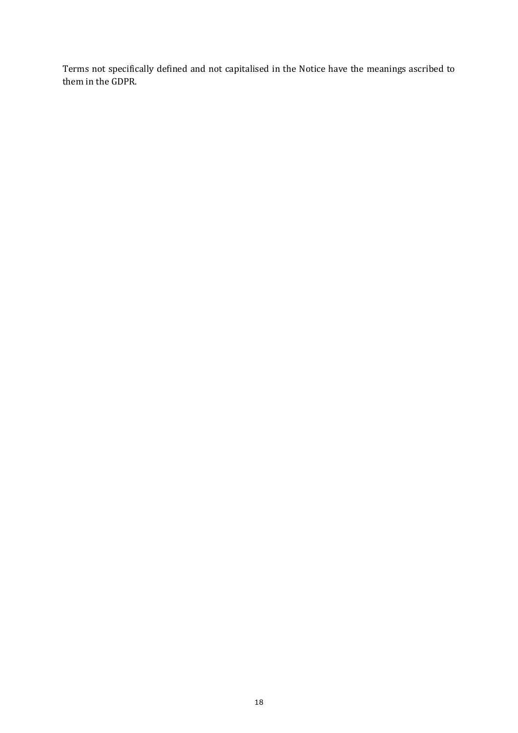Terms not specifically defined and not capitalised in the Notice have the meanings ascribed to them in the GDPR.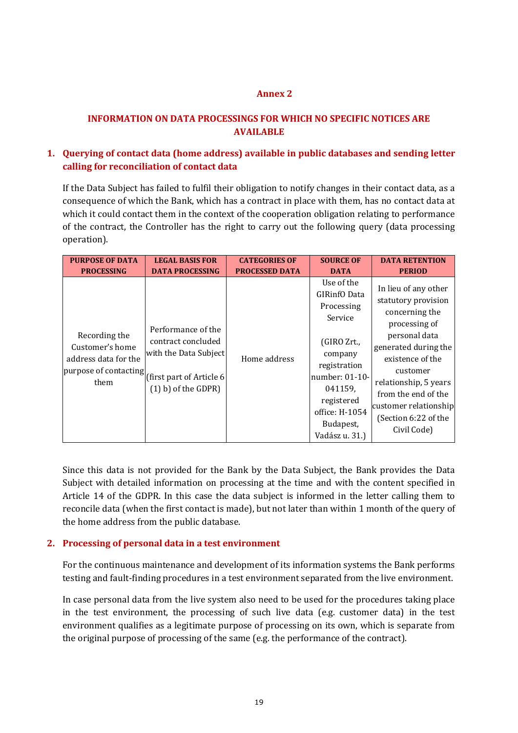### **Annex 2**

# **INFORMATION ON DATA PROCESSINGS FOR WHICH NO SPECIFIC NOTICES ARE AVAILABLE**

# **1. Querying of contact data (home address) available in public databases and sending letter calling for reconciliation of contact data**

If the Data Subject has failed to fulfil their obligation to notify changes in their contact data, as a consequence of which the Bank, which has a contract in place with them, has no contact data at which it could contact them in the context of the cooperation obligation relating to performance of the contract, the Controller has the right to carry out the following query (data processing operation).

| <b>PURPOSE OF DATA</b>                                                                                                        | <b>LEGAL BASIS FOR</b>                                                                     | <b>CATEGORIES OF</b>  | <b>SOURCE OF</b>                                                                                                                                                                          | <b>DATA RETENTION</b>                                                                                                                                                                                                                                                   |
|-------------------------------------------------------------------------------------------------------------------------------|--------------------------------------------------------------------------------------------|-----------------------|-------------------------------------------------------------------------------------------------------------------------------------------------------------------------------------------|-------------------------------------------------------------------------------------------------------------------------------------------------------------------------------------------------------------------------------------------------------------------------|
| <b>PROCESSING</b>                                                                                                             | <b>DATA PROCESSING</b>                                                                     | <b>PROCESSED DATA</b> | <b>DATA</b>                                                                                                                                                                               | <b>PERIOD</b>                                                                                                                                                                                                                                                           |
| Recording the<br>Customer's home<br>address data for the<br> <br> purpose of contacting <br> first part of Article 6 <br>them | Performance of the<br>contract concluded<br>with the Data Subject<br>$(1)$ b) of the GDPR) | Home address          | Use of the<br>GIRinfO Data<br>Processing<br>Service<br>(GIRO Zrt.,<br>company<br>registration<br>number: 01-10-<br>041159,<br>registered<br>office: H-1054<br>Budapest,<br>Vadász u. 31.) | In lieu of any other<br>statutory provision<br>concerning the<br>processing of<br>personal data<br>generated during the<br>existence of the<br>customer<br>relationship, 5 years<br>from the end of the<br>customer relationship<br>(Section 6:22 of the<br>Civil Code) |

Since this data is not provided for the Bank by the Data Subject, the Bank provides the Data Subject with detailed information on processing at the time and with the content specified in Article 14 of the GDPR. In this case the data subject is informed in the letter calling them to reconcile data (when the first contact is made), but not later than within 1 month of the query of the home address from the public database.

### **2. Processing of personal data in a test environment**

For the continuous maintenance and development of its information systems the Bank performs testing and fault-finding procedures in a test environment separated from the live environment.

In case personal data from the live system also need to be used for the procedures taking place in the test environment, the processing of such live data (e.g. customer data) in the test environment qualifies as a legitimate purpose of processing on its own, which is separate from the original purpose of processing of the same (e.g. the performance of the contract).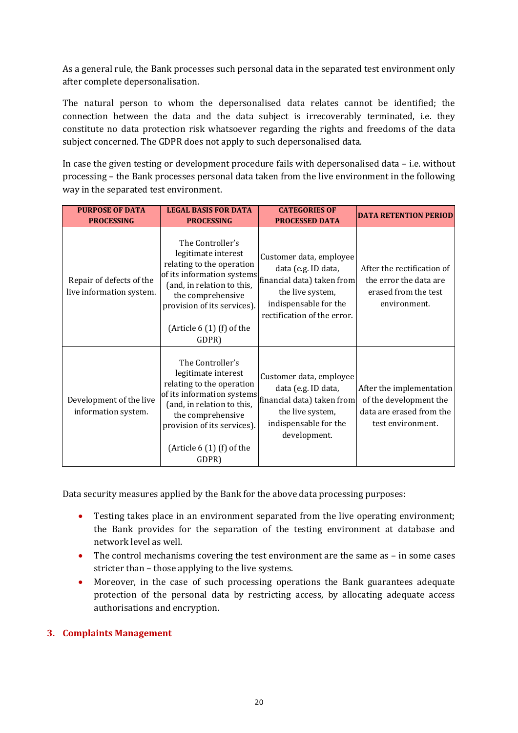As a general rule, the Bank processes such personal data in the separated test environment only after complete depersonalisation.

The natural person to whom the depersonalised data relates cannot be identified; the connection between the data and the data subject is irrecoverably terminated, i.e. they constitute no data protection risk whatsoever regarding the rights and freedoms of the data subject concerned. The GDPR does not apply to such depersonalised data.

In case the given testing or development procedure fails with depersonalised data – i.e. without processing – the Bank processes personal data taken from the live environment in the following way in the separated test environment.

| <b>PURPOSE OF DATA</b><br><b>PROCESSING</b>          | <b>LEGAL BASIS FOR DATA</b><br><b>PROCESSING</b>                                                                                                                                                                            | <b>CATEGORIES OF</b><br><b>PROCESSED DATA</b>                                                                                                            | <b>DATA RETENTION PERIOD</b>                                                                        |
|------------------------------------------------------|-----------------------------------------------------------------------------------------------------------------------------------------------------------------------------------------------------------------------------|----------------------------------------------------------------------------------------------------------------------------------------------------------|-----------------------------------------------------------------------------------------------------|
| Repair of defects of the<br>live information system. | The Controller's<br>legitimate interest<br>relating to the operation<br>of its information systems<br>(and, in relation to this,<br>the comprehensive<br>provision of its services).<br>(Article $6(1)$ (f) of the<br>GDPR) | Customer data, employee<br>data (e.g. ID data,<br>financial data) taken from<br>the live system,<br>indispensable for the<br>rectification of the error. | After the rectification of<br>the error the data are<br>erased from the test<br>environment.        |
| Development of the live<br>information system.       | The Controller's<br>legitimate interest<br>relating to the operation<br>of its information systems<br>(and, in relation to this,<br>the comprehensive<br>provision of its services).<br>(Article $6(1)$ (f) of the<br>GDPR) | Customer data, employee<br>data (e.g. ID data,<br>financial data) taken from<br>the live system,<br>indispensable for the<br>development.                | After the implementation<br>of the development the<br>data are erased from the<br>test environment. |

Data security measures applied by the Bank for the above data processing purposes:

- Testing takes place in an environment separated from the live operating environment; the Bank provides for the separation of the testing environment at database and network level as well.
- The control mechanisms covering the test environment are the same as in some cases stricter than – those applying to the live systems.
- Moreover, in the case of such processing operations the Bank guarantees adequate protection of the personal data by restricting access, by allocating adequate access authorisations and encryption.

# **3. Complaints Management**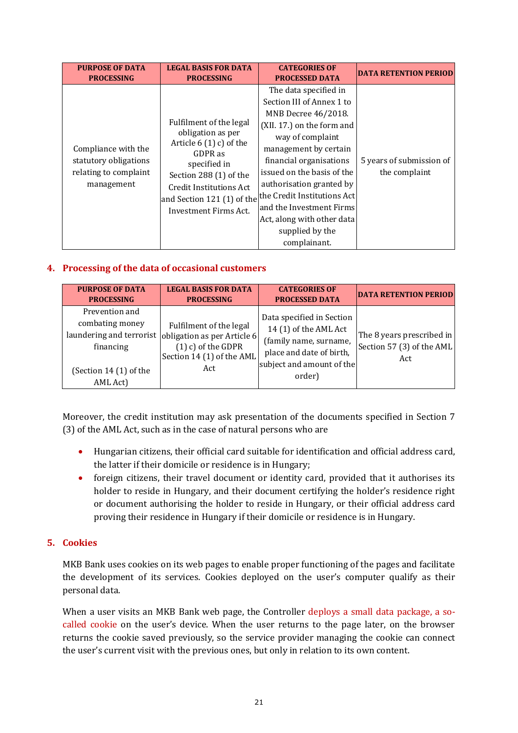| <b>PURPOSE OF DATA</b>                                                              | <b>LEGAL BASIS FOR DATA</b>                                                                                                                                                       | <b>CATEGORIES OF</b>                                                                                                                                                                                                                                                                                                                                                                                              | <b>DATA RETENTION PERIOD</b>              |
|-------------------------------------------------------------------------------------|-----------------------------------------------------------------------------------------------------------------------------------------------------------------------------------|-------------------------------------------------------------------------------------------------------------------------------------------------------------------------------------------------------------------------------------------------------------------------------------------------------------------------------------------------------------------------------------------------------------------|-------------------------------------------|
| <b>PROCESSING</b>                                                                   | <b>PROCESSING</b>                                                                                                                                                                 | <b>PROCESSED DATA</b>                                                                                                                                                                                                                                                                                                                                                                                             |                                           |
| Compliance with the<br>statutory obligations<br>relating to complaint<br>management | Fulfilment of the legal<br>obligation as per<br>Article $6(1)$ c) of the<br>GDPR as<br>specified in<br>Section 288 (1) of the<br>Credit Institutions Act<br>Investment Firms Act. | The data specified in<br>Section III of Annex 1 to<br>MNB Decree 46/2018.<br>(XII. 17.) on the form and<br>way of complaint<br>management by certain<br>financial organisations<br>issued on the basis of the<br>authorisation granted by<br> and Section 121 (1) of the $^{\rm  the\, Credit\,Institutions\, Act }$<br>and the Investment Firms<br>Act, along with other data<br>supplied by the<br>complainant. | 5 years of submission of<br>the complaint |

### **4. Processing of the data of occasional customers**

| <b>PURPOSE OF DATA</b>                                                               | <b>LEGAL BASIS FOR DATA</b>                                                                                                                 | <b>CATEGORIES OF</b>                                                                                                                            | <b>DATA RETENTION PERIOD</b>                                  |
|--------------------------------------------------------------------------------------|---------------------------------------------------------------------------------------------------------------------------------------------|-------------------------------------------------------------------------------------------------------------------------------------------------|---------------------------------------------------------------|
| <b>PROCESSING</b>                                                                    | <b>PROCESSING</b>                                                                                                                           | <b>PROCESSED DATA</b>                                                                                                                           |                                                               |
| Prevention and<br>combating money<br>financing<br>(Section 14 (1) of the<br>AML Act) | Fulfilment of the legal<br>laundering and terrorist obligation as per Article 6<br>$(1)$ c) of the GDPR<br>Section 14 (1) of the AML<br>Act | Data specified in Section<br>14 (1) of the AML Act<br>(family name, surname,<br>place and date of birth,<br>subject and amount of the<br>order) | The 8 years prescribed in<br>Section 57 (3) of the AML<br>Act |

Moreover, the credit institution may ask presentation of the documents specified in Section 7 (3) of the AML Act, such as in the case of natural persons who are

- Hungarian citizens, their official card suitable for identification and official address card, the latter if their domicile or residence is in Hungary;
- foreign citizens, their travel document or identity card, provided that it authorises its holder to reside in Hungary, and their document certifying the holder's residence right or document authorising the holder to reside in Hungary, or their official address card proving their residence in Hungary if their domicile or residence is in Hungary.

### **5. Cookies**

MKB Bank uses cookies on its web pages to enable proper functioning of the pages and facilitate the development of its services. Cookies deployed on the user's computer qualify as their personal data.

When a user visits an MKB Bank web page, the Controller deploys a small data package, a socalled cookie on the user's device. When the user returns to the page later, on the browser returns the cookie saved previously, so the service provider managing the cookie can connect the user's current visit with the previous ones, but only in relation to its own content.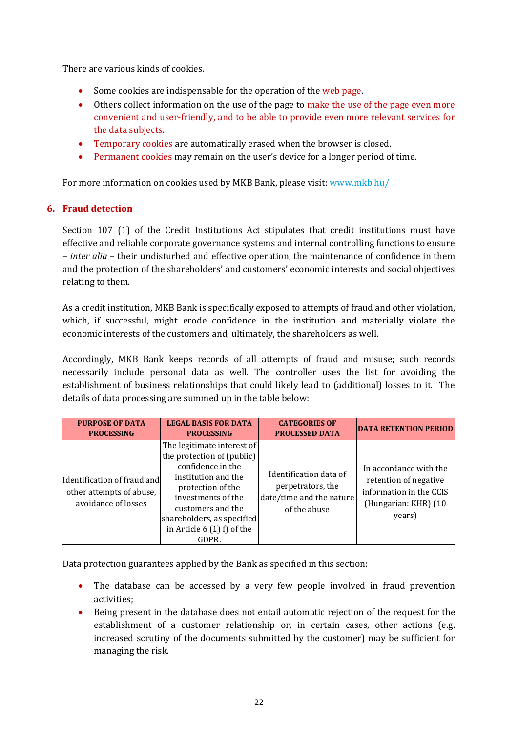There are various kinds of cookies.

- Some cookies are indispensable for the operation of the web page.
- Others collect information on the use of the page to make the use of the page even more convenient and user-friendly, and to be able to provide even more relevant services for the data subjects.
- Temporary cookies are automatically erased when the browser is closed.
- Permanent cookies may remain on the user's device for a longer period of time.

For more information on cookies used by MKB Bank, please visit: [www.mkb.hu/](http://www.mkb.hu/cookies)

### **6. Fraud detection**

Section 107 (1) of the Credit Institutions Act stipulates that credit institutions must have effective and reliable corporate governance systems and internal controlling functions to ensure – *inter alia* – their undisturbed and effective operation, the maintenance of confidence in them and the protection of the shareholders' and customers' economic interests and social objectives relating to them.

As a credit institution, MKB Bank is specifically exposed to attempts of fraud and other violation, which, if successful, might erode confidence in the institution and materially violate the economic interests of the customers and, ultimately, the shareholders as well.

Accordingly, MKB Bank keeps records of all attempts of fraud and misuse; such records necessarily include personal data as well. The controller uses the list for avoiding the establishment of business relationships that could likely lead to (additional) losses to it. The details of data processing are summed up in the table below:

| <b>PURPOSE OF DATA</b>                                                         | <b>LEGAL BASIS FOR DATA</b>                                                                                                                                                                                                                | <b>CATEGORIES OF</b>                                                                    | <b>DATA RETENTION PERIOD</b>                                                                                 |
|--------------------------------------------------------------------------------|--------------------------------------------------------------------------------------------------------------------------------------------------------------------------------------------------------------------------------------------|-----------------------------------------------------------------------------------------|--------------------------------------------------------------------------------------------------------------|
| <b>PROCESSING</b>                                                              | <b>PROCESSING</b>                                                                                                                                                                                                                          | <b>PROCESSED DATA</b>                                                                   |                                                                                                              |
| Identification of fraud and<br>other attempts of abuse,<br>avoidance of losses | The legitimate interest of<br>the protection of (public)<br>confidence in the<br>institution and the<br>protection of the<br>investments of the<br>customers and the<br>shareholders, as specified<br>in Article $6(1)$ f) of the<br>GDPR. | Identification data of<br>perpetrators, the<br>date/time and the nature<br>of the abuse | In accordance with the<br>retention of negative<br>information in the CCIS<br>(Hungarian: KHR) (10<br>years) |

Data protection guarantees applied by the Bank as specified in this section:

- The database can be accessed by a very few people involved in fraud prevention activities;
- Being present in the database does not entail automatic rejection of the request for the establishment of a customer relationship or, in certain cases, other actions (e.g. increased scrutiny of the documents submitted by the customer) may be sufficient for managing the risk.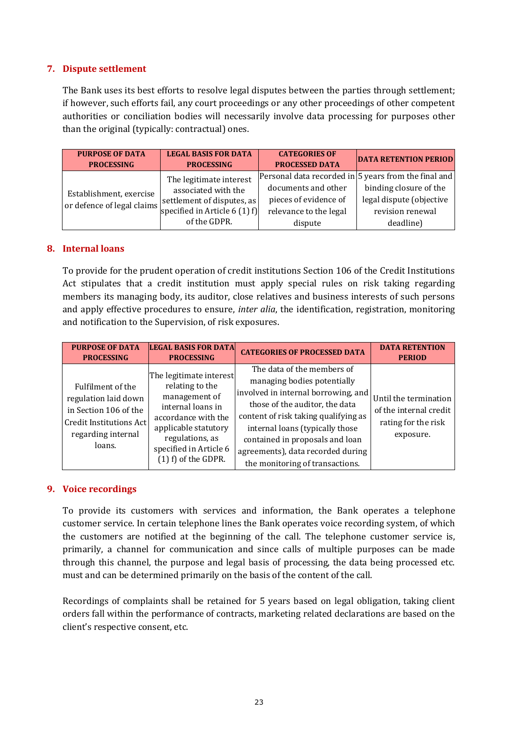### **7. Dispute settlement**

The Bank uses its best efforts to resolve legal disputes between the parties through settlement; if however, such efforts fail, any court proceedings or any other proceedings of other competent authorities or conciliation bodies will necessarily involve data processing for purposes other than the original (typically: contractual) ones.

| <b>PURPOSE OF DATA</b>                                | <b>LEGAL BASIS FOR DATA</b>                                                                                                    | <b>CATEGORIES OF</b>                                                              | <b>DATA RETENTION PERIOD</b>                                                                                                                |
|-------------------------------------------------------|--------------------------------------------------------------------------------------------------------------------------------|-----------------------------------------------------------------------------------|---------------------------------------------------------------------------------------------------------------------------------------------|
| <b>PROCESSING</b>                                     | <b>PROCESSING</b>                                                                                                              | <b>PROCESSED DATA</b>                                                             |                                                                                                                                             |
| Establishment, exercise<br>or defence of legal claims | The legitimate interest<br>associated with the<br>settlement of disputes, as<br>specified in Article $6(1)$ f)<br>of the GDPR. | documents and other<br>pieces of evidence of<br>relevance to the legal<br>dispute | Personal data recorded in 5 years from the final and<br>binding closure of the<br>legal dispute (objective<br>revision renewal<br>deadline) |

### **8. Internal loans**

To provide for the prudent operation of credit institutions Section 106 of the Credit Institutions Act stipulates that a credit institution must apply special rules on risk taking regarding members its managing body, its auditor, close relatives and business interests of such persons and apply effective procedures to ensure, *inter alia*, the identification, registration, monitoring and notification to the Supervision, of risk exposures.

| <b>PURPOSE OF DATA</b>                                                                                                               | <b>LEGAL BASIS FOR DATA</b>                                                                                                                                                                           | <b>CATEGORIES OF PROCESSED DATA</b>                                                                                                                                                                                                                                                                                      | <b>DATA RETENTION</b>                                                               |
|--------------------------------------------------------------------------------------------------------------------------------------|-------------------------------------------------------------------------------------------------------------------------------------------------------------------------------------------------------|--------------------------------------------------------------------------------------------------------------------------------------------------------------------------------------------------------------------------------------------------------------------------------------------------------------------------|-------------------------------------------------------------------------------------|
| <b>PROCESSING</b>                                                                                                                    | <b>PROCESSING</b>                                                                                                                                                                                     |                                                                                                                                                                                                                                                                                                                          | <b>PERIOD</b>                                                                       |
| Fulfilment of the<br>regulation laid down<br>in Section 106 of the<br><b>Credit Institutions Act</b><br>regarding internal<br>loans. | The legitimate interest<br>relating to the<br>management of<br>internal loans in<br>accordance with the<br>applicable statutory<br>regulations, as<br>specified in Article 6<br>$(1)$ f) of the GDPR. | The data of the members of<br>managing bodies potentially<br>involved in internal borrowing, and<br>those of the auditor, the data<br>content of risk taking qualifying as<br>internal loans (typically those<br>contained in proposals and loan<br>agreements), data recorded during<br>the monitoring of transactions. | Until the termination<br>of the internal credit<br>rating for the risk<br>exposure. |

### **9. Voice recordings**

To provide its customers with services and information, the Bank operates a telephone customer service. In certain telephone lines the Bank operates voice recording system, of which the customers are notified at the beginning of the call. The telephone customer service is, primarily, a channel for communication and since calls of multiple purposes can be made through this channel, the purpose and legal basis of processing, the data being processed etc. must and can be determined primarily on the basis of the content of the call.

Recordings of complaints shall be retained for 5 years based on legal obligation, taking client orders fall within the performance of contracts, marketing related declarations are based on the client's respective consent, etc.